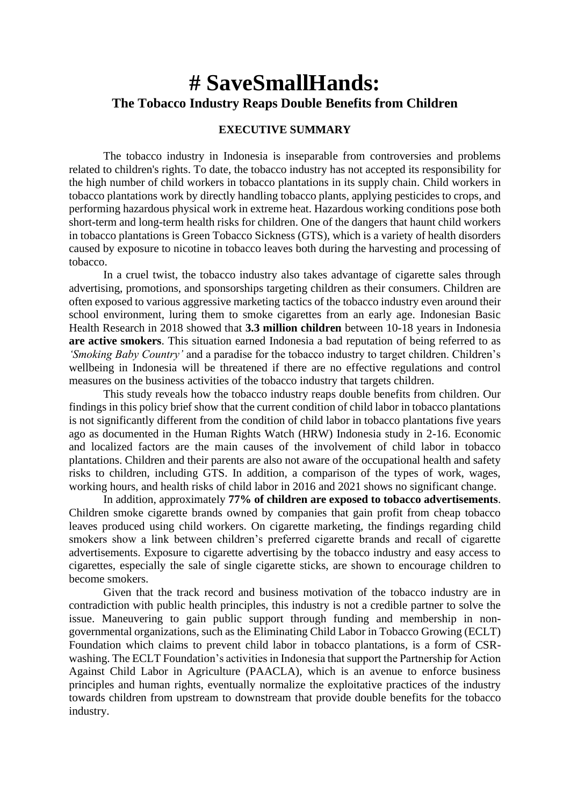# **# SaveSmallHands: The Tobacco Industry Reaps Double Benefits from Children**

#### **EXECUTIVE SUMMARY**

The tobacco industry in Indonesia is inseparable from controversies and problems related to children's rights. To date, the tobacco industry has not accepted its responsibility for the high number of child workers in tobacco plantations in its supply chain. Child workers in tobacco plantations work by directly handling tobacco plants, applying pesticides to crops, and performing hazardous physical work in extreme heat. Hazardous working conditions pose both short-term and long-term health risks for children. One of the dangers that haunt child workers in tobacco plantations is Green Tobacco Sickness (GTS), which is a variety of health disorders caused by exposure to nicotine in tobacco leaves both during the harvesting and processing of tobacco.

In a cruel twist, the tobacco industry also takes advantage of cigarette sales through advertising, promotions, and sponsorships targeting children as their consumers. Children are often exposed to various aggressive marketing tactics of the tobacco industry even around their school environment, luring them to smoke cigarettes from an early age. Indonesian Basic Health Research in 2018 showed that **3.3 million children** between 10-18 years in Indonesia **are active smokers**. This situation earned Indonesia a bad reputation of being referred to as *'Smoking Baby Country'* and a paradise for the tobacco industry to target children. Children's wellbeing in Indonesia will be threatened if there are no effective regulations and control measures on the business activities of the tobacco industry that targets children.

This study reveals how the tobacco industry reaps double benefits from children. Our findings in this policy brief show that the current condition of child labor in tobacco plantations is not significantly different from the condition of child labor in tobacco plantations five years ago as documented in the Human Rights Watch (HRW) Indonesia study in 2-16. Economic and localized factors are the main causes of the involvement of child labor in tobacco plantations. Children and their parents are also not aware of the occupational health and safety risks to children, including GTS. In addition, a comparison of the types of work, wages, working hours, and health risks of child labor in 2016 and 2021 shows no significant change.

In addition, approximately **77% of children are exposed to tobacco advertisements**. Children smoke cigarette brands owned by companies that gain profit from cheap tobacco leaves produced using child workers. On cigarette marketing, the findings regarding child smokers show a link between children's preferred cigarette brands and recall of cigarette advertisements. Exposure to cigarette advertising by the tobacco industry and easy access to cigarettes, especially the sale of single cigarette sticks, are shown to encourage children to become smokers.

Given that the track record and business motivation of the tobacco industry are in contradiction with public health principles, this industry is not a credible partner to solve the issue. Maneuvering to gain public support through funding and membership in nongovernmental organizations, such as the Eliminating Child Labor in Tobacco Growing (ECLT) Foundation which claims to prevent child labor in tobacco plantations, is a form of CSRwashing. The ECLT Foundation's activities in Indonesia that support the Partnership for Action Against Child Labor in Agriculture (PAACLA), which is an avenue to enforce business principles and human rights, eventually normalize the exploitative practices of the industry towards children from upstream to downstream that provide double benefits for the tobacco industry.